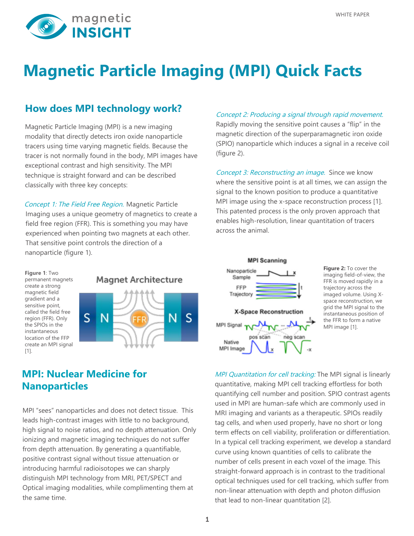

# **Magnetic Particle Imaging (MPI) Quick Facts**

### **How does MPI technology work?**

Magnetic Particle Imaging (MPI) is a new imaging modality that directly detects iron oxide nanoparticle tracers using time varying magnetic fields. Because the tracer is not normally found in the body, MPI images have exceptional contrast and high sensitivity. The MPI technique is straight forward and can be described classically with three key concepts:

Concept 1: The Field Free Region. Magnetic Particle Imaging uses a unique geometry of magnetics to create a field free region (FFR). This is something you may have experienced when pointing two magnets at each other. That sensitive point controls the direction of a nanoparticle (figure 1).

#### Concept 2: Producing a signal through rapid movement.

Rapidly moving the sensitive point causes a "flip" in the magnetic direction of the superparamagnetic iron oxide (SPIO) nanoparticle which induces a signal in a receive coil (figure 2).

Concept 3: Reconstructing an image. Since we know where the sensitive point is at all times, we can assign the signal to the known position to produce a quantitative MPI image using the x-space reconstruction process [1]. This patented process is the only proven approach that enables high-resolution, linear quantitation of tracers across the animal.

**Figure 1**: Two permanent magnets create a strong magnetic field gradient and a sensitive point, called the field free region (FFR). Only the SPIOs in the instantaneous location of the FFP create an MPI signal [1].



### **MPI: Nuclear Medicine for Nanoparticles**

MPI "sees" nanoparticles and does not detect tissue. This leads high-contrast images with little to no background, high signal to noise ratios, and no depth attenuation. Only ionizing and magnetic imaging techniques do not suffer from depth attenuation. By generating a quantifiable, positive contrast signal without tissue attenuation or introducing harmful radioisotopes we can sharply distinguish MPI technology from MRI, PET/SPECT and Optical imaging modalities, while complimenting them at the same time.



**Figure 2:** To cover the imaging field-of-view, the FFR is moved rapidly in a trajectory across the imaged volume. Using Xspace reconstruction, we grid the MPI signal to the instantaneous position of the FFR to form a native MPI image [1].

MPI Quantitation for cell tracking: The MPI signal is linearly quantitative, making MPI cell tracking effortless for both quantifying cell number and position. SPIO contrast agents used in MPI are human-safe which are commonly used in MRI imaging and variants as a therapeutic. SPIOs readily tag cells, and when used properly, have no short or long term effects on cell viability, proliferation or differentiation. In a typical cell tracking experiment, we develop a standard curve using known quantities of cells to calibrate the number of cells present in each voxel of the image. This straight-forward approach is in contrast to the traditional optical techniques used for cell tracking, which suffer from non-linear attenuation with depth and photon diffusion that lead to non-linear quantitation [2].